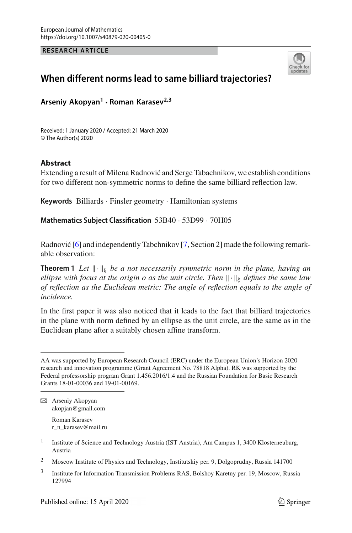**RESEARCH ARTICLE**



## **When different norms lead to same billiard trajectories?**

**Arseniy Akopyan1 · Roman Karasev2,3**

Received: 1 January 2020 / Accepted: 21 March 2020 © The Author(s) 2020

## **Abstract**

Extending a result of Milena Radnović and Serge Tabachnikov, we establish conditions for two different non-symmetric norms to define the same billiard reflection law.

**Keywords** Billiards · Finsler geometry · Hamiltonian systems

**Mathematics Subject Classification** 53B40 · 53D99 · 70H05

<span id="page-0-0"></span>Radnović  $[6]$  and independently Tabchnikov  $[7, Section 2]$  $[7, Section 2]$  made the following remarkable observation:

**Theorem 1** Let  $\|\cdot\|_{\xi}$  be a not necessarily symmetric norm in the plane, having an *ellipse with focus at the origin o as the unit circle. Then*  $\|\cdot\|_{\xi}$  *defines the same law of reflection as the Euclidean metric: The angle of reflection equals to the angle of incidence.*

In the first paper it was also noticed that it leads to the fact that billiard trajectories in the plane with norm defined by an ellipse as the unit circle, are the same as in the Euclidean plane after a suitably chosen affine transform.

Roman Karasev r\_n\_karasev@mail.ru

AA was supported by European Research Council (ERC) under the European Union's Horizon 2020 research and innovation programme (Grant Agreement No. 78818 Alpha). RK was supported by the Federal professorship program Grant 1.456.2016/1.4 and the Russian Foundation for Basic Research Grants 18-01-00036 and 19-01-00169.

B Arseniy Akopyan akopjan@gmail.com

<sup>&</sup>lt;sup>1</sup> Institute of Science and Technology Austria (IST Austria), Am Campus 1, 3400 Klosterneuburg, Austria

<sup>2</sup> Moscow Institute of Physics and Technology, Institutskiy per. 9, Dolgoprudny, Russia 141700

<sup>&</sup>lt;sup>3</sup> Institute for Information Transmission Problems RAS, Bolshoy Karetny per. 19, Moscow, Russia 127994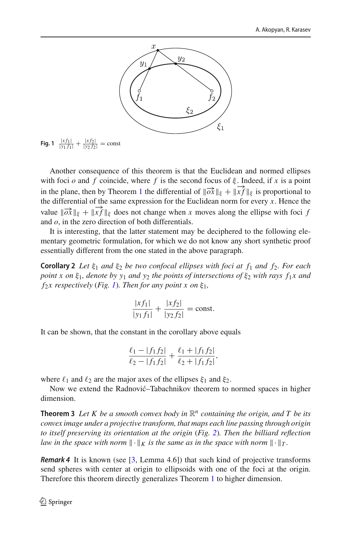

<span id="page-1-0"></span>**Fig. 1**  $\frac{|xf_1|}{|y_1 f_1|} + \frac{|xf_2|}{|y_2 f_2|}$  = const

Another consequence of this theorem is that the Euclidean and normed ellipses with foci *o* and *f* coincide, where *f* is the second focus of  $\xi$ . Indeed, if *x* is a point in the plane, then by Theorem [1](#page-0-0) the differential of  $\|\vec{ox}\|_{\xi} + \|\vec{xf}\|_{\xi}$  is proportional to the differential of the same expression for the Euclidean norm for every  $x$ . Hence the value  $\|\overrightarrow{ox}\|_{\xi} + \|\overrightarrow{xf}\|_{\xi}$  does not change when *x* moves along the ellipse with foci *f* and *o*, in the zero direction of both differentials.

It is interesting, that the latter statement may be deciphered to the following elementary geometric formulation, for which we do not know any short synthetic proof essentially different from the one stated in the above paragraph.

**Corollary 2** *Let* ξ<sup>1</sup> *and* ξ<sup>2</sup> *be two confocal ellipses with foci at f*<sup>1</sup> *and f*2*. For each point x on* ξ<sub>1</sub>*, denote by y<sub>1</sub> and y<sub>2</sub> the points of intersections of* ξ<sub>2</sub> *with rays f<sub>1</sub><i>x* and  $f_2x$  respectively (*Fig. [1](#page-1-0)*)*. Then for any point x on*  $\xi_1$ *,* 

$$
\frac{|xf_1|}{|y_1f_1|} + \frac{|xf_2|}{|y_2f_2|} = \text{const.}
$$

It can be shown, that the constant in the corollary above equals

$$
\frac{\ell_1 - |f_1 f_2|}{\ell_2 - |f_1 f_2|} + \frac{\ell_1 + |f_1 f_2|}{\ell_2 + |f_1 f_2|},
$$

where  $\ell_1$  and  $\ell_2$  are the major axes of the ellipses  $\xi_1$  and  $\xi_2$ .

Now we extend the Radnović–Tabachnikov theorem to normed spaces in higher dimension.

**Theorem 3** Let K be a smooth convex body in  $\mathbb{R}^n$  containing the origin, and T be its *convex image under a projective transform, that maps each line passing through origin to itself preserving its orientation at the origin* (*Fig. [2](#page-2-0)*)*. Then the billiard reflection law in the space with norm*  $\|\cdot\|_K$  *is the same as in the space with norm*  $\|\cdot\|_T$ *.* 

*Remark 4* It is known (see [\[3](#page-3-2), Lemma 4.6]) that such kind of projective transforms send spheres with center at origin to ellipsoids with one of the foci at the origin. Therefore this theorem directly generalizes Theorem [1](#page-0-0) to higher dimension.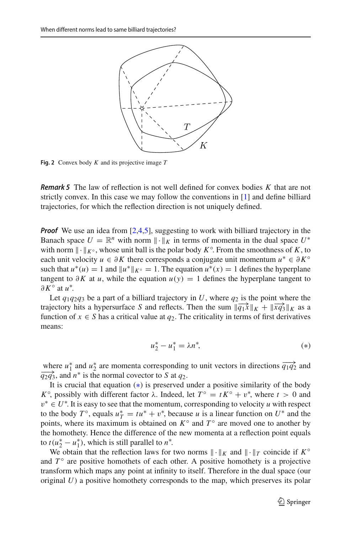

<span id="page-2-0"></span>**Fig. 2** Convex body *K* and its projective image *T*

*Remark 5* The law of reflection is not well defined for convex bodies *K* that are not strictly convex. In this case we may follow the conventions in [\[1](#page-3-3)] and define billiard trajectories, for which the reflection direction is not uniquely defined.

*Proof* We use an idea from [\[2](#page-3-4)[,4](#page-3-5)[,5](#page-3-6)], suggesting to work with billiard trajectory in the Banach space  $U = \mathbb{R}^n$  with norm  $\|\cdot\|_K$  in terms of momenta in the dual space  $U^*$ with norm  $\|\cdot\|_{K^{\circ}}$ , whose unit ball is the polar body  $K^{\circ}$ . From the smoothness of *K*, to each unit velocity  $u \in \partial K$  there corresponds a conjugate unit momentum  $u^* \in \partial K^\circ$ such that  $u^*(u) = 1$  and  $||u^*||_{K^\circ} = 1$ . The equation  $u^*(x) = 1$  defines the hyperplane tangent to  $\partial K$  at *u*, while the equation  $u(y) = 1$  defines the hyperplane tangent to ∂*K*◦ at *u*∗ .

Let  $q_1q_2q_3$  be a part of a billiard trajectory in U, where  $q_2$  is the point where the trajectory hits a hypersurface *S* and reflects. Then the sum  $\|\overrightarrow{q_1x}\|_K + \|\overrightarrow{xq_3}\|_K$  as a function of  $x \in S$  has a critical value at  $q_2$ . The criticality in terms of first derivatives means:

<span id="page-2-1"></span>
$$
u_2^* - u_1^* = \lambda n^*,
$$
 (\*)

where  $u_1^*$  and  $u_2^*$  are momenta corresponding to unit vectors in directions  $\overrightarrow{q_1q_2}$  and  $\overrightarrow{q_2q_3}$ , and *n*<sup>\*</sup> is the normal covector to *S* at  $q_2$ .

It is crucial that equation ([∗](#page-2-1)) is preserved under a positive similarity of the body *K*<sup>°</sup>, possibly with different factor λ. Indeed, let  $T$ <sup>°</sup> = *tK*<sup>°</sup> + *v*<sup>\*</sup>, where *t* > 0 and v<sup>∗</sup> ∈ *U*<sup>∗</sup> . It is easy to see that the momentum, corresponding to velocity *u* with respect to the body  $T^{\circ}$ , equals  $u_T^* = tu^* + v^*$ , because *u* is a linear function on  $U^*$  and the points, where its maximum is obtained on  $K^{\circ}$  and  $T^{\circ}$  are moved one to another by the homothety. Hence the difference of the new momenta at a reflection point equals to  $t(u_2^* - u_1^*)$ , which is still parallel to  $n^*$ .

We obtain that the reflection laws for two norms  $\|\cdot\|_K$  and  $\|\cdot\|_T$  coincide if  $K^{\circ}$ and  $T<sup>°</sup>$  are positive homothets of each other. A positive homothety is a projective transform which maps any point at infinity to itself. Therefore in the dual space (our original *U*) a positive homothety corresponds to the map, which preserves its polar